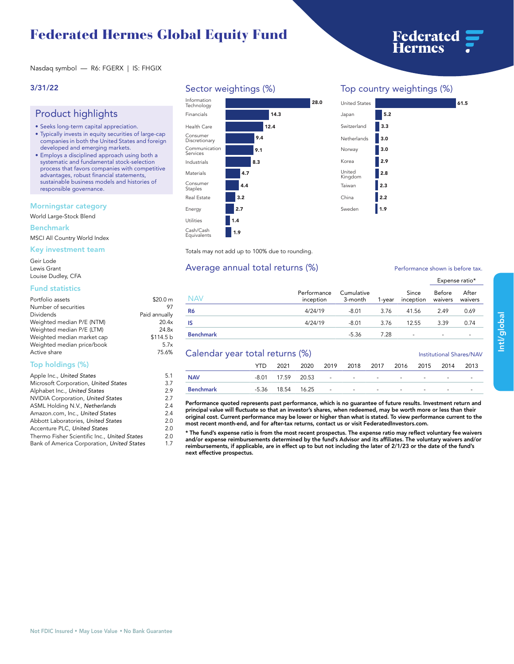# **Federated Hermes Global Equity Fund**



**Nasdaq symbol — R6: FGERX | IS: FHGIX**

### **3/31/22**

## **Product highlights**

- **• Seeks long-term capital appreciation.**
- **• Typically invests in equity securities of large-cap companies in both the United States and foreign developed and emerging markets.**
- **• Employs a disciplined approach using both a systematic and fundamental stock-selection process that favors companies with competitive advantages, robust financial statements, sustainable business models and histories of responsible governance.**

### **Morningstar category**

**World Large-Stock Blend**

#### **Benchmark**

**MSCI All Country World Index**

### **Key investment team**

**Geir Lode Lewis Grant Louise Dudley, CFA**

#### **Fund statistics**

| Portfolio assets           | \$20.0 m      |
|----------------------------|---------------|
| Number of securities       | 97            |
| Dividends                  | Paid annually |
| Weighted median P/E (NTM)  | 20.4x         |
| Weighted median P/E (LTM)  | 24.8x         |
| Weighted median market cap | \$114.5 b     |
| Weighted median price/book | 5.7x          |
| Active share               | 75.6%         |

### **Top holdings (%)**

| Microsoft Corporation, United States<br>Alphabet Inc., United States<br>NVIDIA Corporation, United States<br>ASML Holding N.V., Netherlands | 5.1 |
|---------------------------------------------------------------------------------------------------------------------------------------------|-----|
|                                                                                                                                             | 3.7 |
|                                                                                                                                             | 2.9 |
|                                                                                                                                             | 2.7 |
|                                                                                                                                             | 2.4 |
| Amazon.com, Inc., United States                                                                                                             | 2.4 |
| Abbott Laboratories, United States                                                                                                          | 2.0 |
| Accenture PLC, United States                                                                                                                | 2.0 |
| Thermo Fisher Scientific Inc., United States                                                                                                | 2.0 |
| Bank of America Corporation, United States                                                                                                  | 1.7 |



### **Top country weightings (%)**

| <b>United States</b> |     | 61.5 |
|----------------------|-----|------|
| Japan                | 5.2 |      |
| Switzerland          | 3.3 |      |
| Netherlands          | 3.0 |      |
| Norway               | 3.0 |      |
| Korea                | 2.9 |      |
| United<br>Kingdom    | 2.8 |      |
| Taiwan               | 2.3 |      |
| China                | 2.2 |      |
| Sweden               | 1.9 |      |
|                      |     |      |

**Totals may not add up to 100% due to rounding.**

### Average annual total returns  $(\%)$  **Performance shown is before tax.**

|                  |                          |                       |        |                          | Expense ratio*           |                  |  |
|------------------|--------------------------|-----------------------|--------|--------------------------|--------------------------|------------------|--|
| NAV              | Performance<br>inception | Cumulative<br>3-month | 1-vear | Since<br>inception       | Before<br>waivers        | After<br>waivers |  |
| R6               | 4/24/19                  | $-8.01$               | 3.76   | 41.56                    | 2.49                     | 0.69             |  |
| IS               | 4/24/19                  | $-8.01$               | 3.76   | 12.55                    | 3.39                     | 0.74             |  |
| <b>Benchmark</b> |                          | $-5.36$               | 7.28   | $\overline{\phantom{a}}$ | $\overline{\phantom{a}}$ |                  |  |

### **Calendar year total returns (%) Institutional Shares/NAV**

|                  | YTD. | 2021 |  | 2020 2019 2018 2017 2016 2015 2014 |  |                          |                          | 2013                     |
|------------------|------|------|--|------------------------------------|--|--------------------------|--------------------------|--------------------------|
| <b>NAV</b>       |      |      |  | -8.01 17.59 20.53 - - - - -        |  | $\sim$                   | $\overline{\phantom{0}}$ | $\overline{\phantom{a}}$ |
| <b>Benchmark</b> |      |      |  | -5.36 18.54 16.25 - - - - - -      |  | $\overline{\phantom{0}}$ | $\sim$                   |                          |

Performance quoted represents past performance, which is no guarantee of future results. Investment return and<br>principal value will fluctuate so that an investor's shares, when redeemed, may be worth more or less than thei **original cost. Current performance may be lower or higher than what is stated. To view performance current to the most recent month-end, and for after-tax returns, contact us or visit [FederatedInvestors.com.](www.federatedinvestors.com)**

**\* The fund's expense ratio is from the most recent prospectus. The expense ratio may reflect voluntary fee waivers and/or expense reimbursements determined by the fund's Advisor and its affiliates. The voluntary waivers and/or reimbursements, if applicable, are in effect up to but not including the later of 2/1/23 or the date of the fund's next effective prospectus.**